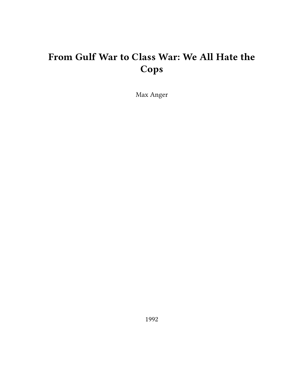# **From Gulf War to Class War: We All Hate the Cops**

Max Anger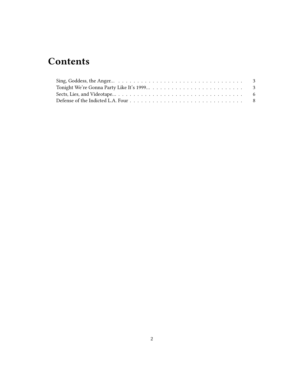# **Contents**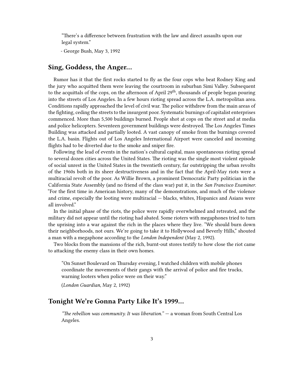"There's a difference between frustration with the law and direct assaults upon our legal system."

- George Bush, May 3, 1992

## <span id="page-2-0"></span>**Sing, Goddess, the Anger…**

Rumor has it that the first rocks started to fly as the four cops who beat Rodney King and the jury who acquitted them were leaving the courtroom in suburban Simi Valley. Subsequent to the acquittals of the cops, on the afternoon of April  $29<sup>th</sup>$ , thousands of people began pouring into the streets of Los Angeles. In a few hours rioting spread across the L.A. metropolitan area. Conditions rapidly approached the level of civil war. The police withdrew from the main areas of the fighting, ceding the streets to the insurgent poor. Systematic burnings of capitalist enterprises commenced. More than 5,500 buildings burned. People shot at cops on the street and at media and police helicopters. Seventeen government buildings were destroyed. The Los Angeles Times Building was attacked and partially looted. A vast canopy of smoke from the burnings covered the L.A. basin. Flights out of Los Angeles International Airport were canceled and incoming flights had to be diverted due to the smoke and sniper fire.

Following the lead of events in the nation's cultural capital, mass spontaneous rioting spread to several dozen cities across the United States. The rioting was the single most violent episode of social unrest in the United States in the twentieth century, far outstripping the urban revolts of the 1960s both in its sheer destructiveness and in the fact that the April-May riots were a multiracial revolt of the poor. As Willie Brown, a prominent Democratic Party politician in the California State Assembly (and no friend of the class war) put it, in the *San Francisco Examiner*. "For the first time in American history, many of the demonstrations, and much of the violence and crime, especially the looting were multiracial — blacks, whites, Hispanics and Asians were all involved."

In the initial phase of the riots, the police were rapidly overwhelmed and retreated, and the military did not appear until the rioting had abated. Some rioters with megaphones tried to turn the uprising into a war against the rich in the places where they live. "We should burn down their neighborhoods, not ours. We're going to take it to Hollywood and Beverly Hills," shouted a man with a megaphone according to the *London Independent* (May 2, 1992).

Two blocks from the mansions of the rich, burnt-out stores testify to how close the riot came to attacking the enemy class in their own homes.

"On Sunset Boulevard on Thursday evening, I watched children with mobile phones coordinate the movements of their gangs with the arrival of police and fire trucks, warning looters when police were on their way."

(*London Guardian*, May 2, 1992)

#### <span id="page-2-1"></span>**Tonight We're Gonna Party Like It's 1999…**

*"The rebellion was community. It was liberation."* — a woman from South Central Los Angeles.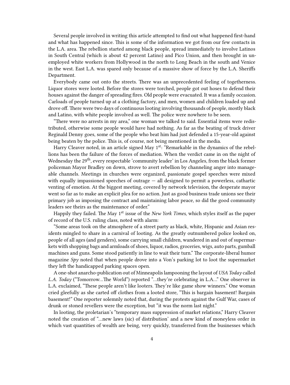Several people involved in writing this article attempted to find out what happened first-hand and what has happened since. This is some of the information we got from our few contacts in the L.A. area. The rebellion started among black people, spread immediately to involve Latinos in South Central (which is about 42 percent Latino) and Pico Union, and then brought in unemployed white workers from Hollywood in the north to Long Beach in the south and Venice in the west. East L.A. was spared only because of a massive show of force by the L.A. Sheriffs Department.

Everybody came out onto the streets. There was an unprecedented feeling of togetherness. Liquor stores were looted. Before the stores were torched, people got out hoses to defend their houses against the danger of spreading fires. Old people were evacuated. It was a family occasion. Carloads of people turned up at a clothing factory, and men, women and children loaded up and drove off. There were two days of continuous looting involving thousands of people, mostly black and Latino, with white people involved as well. The police were nowhere to be seen.

"There were no arrests in my area," one woman we talked to said. Essential items were redistributed, otherwise some people would have had nothing. As far as the beating of truck driver Reginald Denny goes, some of the people who beat him had just defended a 15-year-old against being beaten by the police. This is, of course, not being mentioned in the media.

Harry Cleaver noted, in an article signed May 1<sup>st</sup>: "Remarkable in the dynamics of the rebellions has been the failure of the forces of mediation. When the verdict came in on the night of Wednesday the 29<sup>th</sup>, every respectable 'community leader' in Los Angeles, from the black former policeman Mayor Bradley on down, strove to avert rebellion by channeling anger into manageable channels. Meetings in churches were organized, passionate gospel speeches were mixed with equally impassioned speeches of outrage  $-$  all designed to permit a powerless, cathartic venting of emotion. At the biggest meeting, covered by network television, the desperate mayor went so far as to make an explicit plea for no action. Just as good business trade unions see their primary job as imposing the contract and maintaining labor peace, so did the good community leaders see theirs as the maintenance of order."

Happily they failed. The May 1<sup>st</sup> issue of the *New York Times*, which styles itself as the paper of record of the U.S. ruling class, noted with alarm:

"Some areas took on the atmosphere of a street party as black, white, Hispanic and Asian residents mingled to share in a carnival of looting. As the greatly outnumbered police looked on, people of all ages (and genders), some carrying small children, wandered in and out of supermarkets with shopping bags and armloads of shoes, liquor, radios, groceries, wigs, auto parts, gumball machines and guns. Some stood patiently in line to wait their turn." The corporate-liberal humor magazine *Spy* noted that when people drove into a Von's parking lot to loot the supermarket they left the handicapped parking spaces open.

A one-shot anarcho-publication out of Minneapolis lampooning the layout of *USA Today* called *L.A. Today* ("Tomorrow…The World") reported "…they're celebrating in L.A…" One observer in L.A. exclaimed, "These people aren't like looters. They're like game show winners." One woman cried gleefully as she carted off clothes from a looted store, "This is bargain basement! Bargain basement!" One reporter solemnly noted that, during the protests against the Gulf War, cases of drunk or stoned revellers were the exception, but "it was the norm last night."

In looting, the proletarian's "temporary mass suppression of market relations," Harry Cleaver noted the creation of "…new laws (sic) of distribution' and a new kind of moneyless order in which vast quantities of wealth are being, very quickly, transferred from the businesses which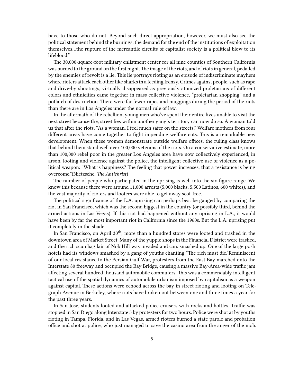have to those who do not. Beyond such direct-appropriation, however, we must also see the political statement behind the burnings: the demand for the end of the institutions of exploitation themselves…the rupture of the mercantile circuits of capitalist society is a political blow to its lifeblood."

The 30,000-square-foot military enlistment center for all nine counties of Southern California was burned to the ground on the first night. The image of the riots, and of riots in general, pedalled by the enemies of revolt is a lie. This lie portrays rioting as an episode of indiscriminate mayhem where rioters attack each other like sharks in a feeding frenzy. Crimes against people, such as rape and drive-by shootings, virtually disappeared as previously atomized proletarians of different colors and ethnicities came together in mass collective violence, "proletarian shopping" and a potlatch of destruction. There were far fewer rapes and muggings during the period of the riots than there are in Los Angeles under the normal rule of law.

In the aftermath of the rebellion, young men who've spent their entire lives unable to visit the next street because the, street lies within another gang's territory can now do so. A woman told us that after the riots, "As a woman, I feel much safer on the streets." Welfare mothers from four different areas have come together to fight impending welfare cuts. This is a remarkable new development. When these women demonstrate outside welfare offices, the ruling class knows that behind them stand well over 100,000 veterans of the riots. On a conservative estimate, more than 100,000 rebel poor in the greater Los Angeles area have now collectively experienced, in arson, looting and violence against the police, the intelligent collective use of violence as a political weapon: "What is happiness? The feeling that power increases, that a resistance is being overcome."(Nietzsche, *The Antichrist*)

The number of people who participated in the uprising is well into the six-figure range. We know this because there were around 11,000 arrests (5,000 blacks, 5,500 Latinos, 600 whites), and the vast majority of rioters and looters were able to get away scot-free.

The political significance of the L.A. uprising can perhaps best be gauged by comparing the riot in San Francisco, which was the second biggest in the country (or possibly third, behind the armed actions in Las Vegas). If this riot had happened without any uprising in L.A., it would have been by far the most important riot in California since the 1960s. But the L.A. uprising put it completely in the shade.

In San Francisco, on April 30<sup>th</sup>, more than a hundred stores were looted and trashed in the downtown area of Market Street. Many of the yuppie shops in the Financial District were trashed, and the rich scumbag lair of Nob Hill was invaded and cars smashed up. One of the large posh hotels had its windows smashed by a gang of youths chanting "The rich must die."Reminiscent of our local resistance to the Persian Gulf War, protesters from the East Bay marched onto the Interstate 80 freeway and occupied the Bay Bridge, causing a massive Bay-Area-wide traffic jam affecting several hundred thousand automobile commuters. This was a commendably intelligent tactical use of the spatial dynamics of automobile urbanism imposed by capitalism as a weapon against capital. These actions were echoed across the bay in street rioting and looting on Telegraph Avenue in Berkeley, where riots have broken out between one and three times a year for the past three years.

In San Jose, students looted and attacked police cruisers with rocks and bottles. Traffic was stopped in San Diego along Interstate 5 by protesters for two hours. Police were shot at by youths rioting in Tampa, Florida, and in Las Vegas, armed rioters burned a state parole and probation office and shot at police, who just managed to save the casino area from the anger of the mob.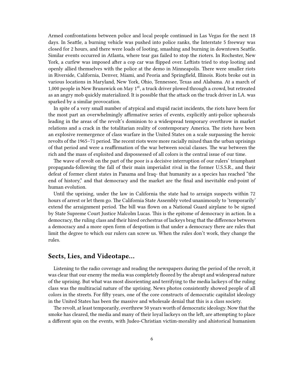Armed confrontations between police and local people continued in Las Vegas for the next 18 days. In Seattle, a burning vehicle was pushed into police ranks, the Interstate 5 freeway was closed for 2 hours, and there were loads of looting, smashing and burning in downtown Seattle. Similar events occurred in Atlanta, where tear gas failed to stop the rioters. In Rochester, New York, a curfew was imposed after a cop car was flipped over. Leftists tried to stop looting and openly allied themselves with the police at the demo in Minneapolis. There were smaller riots in Riverside, California, Denver, Miami, and Peoria and Springfield, Illinois. Riots broke out in various locations in Maryland, New York, Ohio, Tennessee, Texas and Alabama. At a march of 1,000 people in New Brunswick on May  $1<sup>st</sup>$ , a truck driver plowed through a crowd, but retreated as an angry mob quickly materialized. It is possible that the attack on the truck driver in LA. was sparked by a similar provocation.

In spite of a very small number of atypical and stupid racist incidents, the riots have been for the most part an overwhelmingly affirmative series of events, explicitly anti-police upheavals leading in the areas of the revolt's dominion to a widespread temporary overthrow in market relations and a crack in the totalitarian reality of contemporary America. The riots have been an explosive reemergence of class warfare in the United States on a scale surpassing the heroic revolts of the 1965–71 period. The recent riots were more racially mixed than the urban uprisings of that period and were a reaffirmation of the war between social classes. The war between the rich and the mass of exploited and dispossessed of all colors is the central issue of our time.

The wave of revolt on the part of the poor is a decisive interruption of our rulers' triumphant propaganda-following the fall of their main imperialist rival in the former U.S.S.R., and their defeat of former client states in Panama and Iraq- that humanity as a species has reached "the end of history," and that democracy and the market are the final and inevitable end-point of human evolution.

Until the uprising, under the law in California the state had to arraign suspects within 72 hours of arrest or let them go. The California State Assembly voted unanimously to 'temporarily' extend the arraignment period. The bill was flown on a National Guard airplane to be signed by State Supreme Court Justice Malcolm Lucas. This is the epitome of democracy in action. In a democracy, the ruling class and their hired orchestras of lackeys brag that the difference between a democracy and a more open form of despotism is that under a democracy there are rules that limit the degree to which our rulers can screw us. When the rules don't work, they change the rules.

#### <span id="page-5-0"></span>**Sects, Lies, and Videotape…**

Listening to the radio coverage and reading the newspapers during the period of the revolt, it was clear that our enemy the media was completely floored by the abrupt and widespread nature of the uprising. But what was most disorienting and terrifying to the media lackeys of the ruling class was the multiracial nature of the uprising. News photos consistently showed people of all colors in the streets. For fifty years, one of the core constructs of democratic capitalist ideology in the United States has been the massive and wholesale denial that this is a class society.

The revolt, at least temporarily, overthrew 50 years worth of democratic ideology. Now that the smoke has cleared, the media and many of their loyal lackeys on the left, are attempting to place a different spin on the events, with Judeo-Christian victim-morality and ahistorical humanism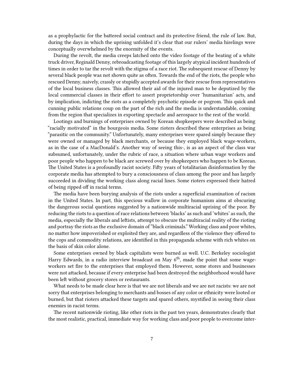as a prophylactic for the battered social contract and its protective friend, the rule of law. But, during the days in which the uprising unfolded it's clear that our rulers' media hirelings were conceptually overwhelmed by the enormity of the events.

During the revolt, the media creeps latched onto the video footage of the beating of a white truck driver, Reginald Denny, rebroadcasting footage of this largely atypical incident hundreds of times in order to tar the revolt with the stigma of a race riot. The subsequent rescue of Denny by several black people was not shown quite as often. Towards the end of the riots, the people who rescued Denny, naively, crassly or stupidly accepted awards for their rescue from representatives of the local business classes. This allowed their aid of the injured man to be deputized by the local commercial classes in their effort to assert proprietorship over 'humanitarian' acts, and by implication, indicting the riots as a completely psychotic episode or pogrom. This quick and cunning public relations coup on the part of the rich and the media is understandable, coming from the region that specializes in exporting spectacle and aerospace to the rest of the world.

Lootings and burnings of enterprises owned by Korean shopkeepers were described as being "racially motivated" in the bourgeois media. Some rioters described these enterprises as being "parasitic on the community." Unfortunately, many enterprises were spared simply because they were owned or managed by black merchants, or because they employed black wage-workers, as in the case of a MacDonald's. Another way of seeing this-, is as an aspect of the class war subsumed, unfortunately, under the rubric of race, a situation where urban wage workers and poor people who happen to be black are screwed over by shopkeepers who happen to be Korean. The United States is a profoundly racist society. Fifty years of totalitarian disinformation by the corporate media has attempted to bury a consciousness of class among the poor and has largely succeeded in dividing the working class along racial lines. Some rioters expressed their hatred of being ripped off in racial terms.

The media have been burying analysis of the riots under a superficial examination of racism in the United States. In part, this specious wallow in corporate humanism aims at obscuring the dangerous social questions suggested by a nationwide multiracial uprising of the poor. By reducing the riots to a question of race relations between 'blacks' as such and 'whites' as such, the media, especially the liberals and leftists, attempt to obscure the multiracial reality of the rioting and portray the riots as the exclusive domain of "black criminals." Working class and poor whites, no matter how impoverished or exploited they are, and regardless of the violence they offered to the cops and commodity relations, are identified in this propaganda scheme with rich whites on the basis of skin color alone.

Some enterprises owned by black capitalists were burned as well. U.C. Berkeley sociologist Harry Edwards, in a radio interview broadcast on May  $6<sup>th</sup>$ , made the point that some wageworkers set fire to the enterprises that employed them. However, some stores and businesses were not attacked, because if every enterprise had been destroyed the neighborhood would have been left without grocery stores or restaurants.

What needs to be made clear here is that we are not liberals and we are not racists: we are not sorry that enterprises belonging to merchants and bosses of any color or ethnicity were looted or burned, but that rioters attacked these targets and spared others, mystified in seeing their class enemies in racist terms.

The recent nationwide rioting, like other riots in the past ten years, demonstrates clearly that the most realistic, practical, immediate way for working class and poor people to overcome inter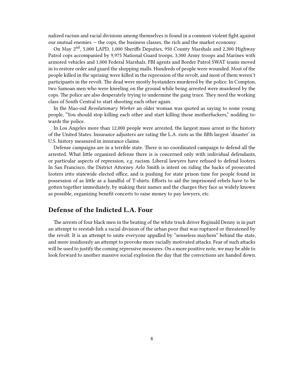nalized racism and racial divisions among themselves is found in a common violent fight against our mutual enemies — the cops, the business classes, the rich and the market economy.

On May 2nd, 5,000 LAPD, 1,000 Sheriffs Deputies, 950 County Marshals and 2,300 Highway Patrol cops accompanied by 9,975 National Guard troops, 3,300 Army troops and Marines with armored vehicles and 1,000 Federal Marshals, FBI agents and Border Patrol SWAT teams moved in to restore order and guard the shopping malls. Hundreds of people were wounded. Most of the people killed in the uprising were killed in the repression of the revolt, and most of them weren't participants in the revolt. The dead were mostly bystanders murdered by the police. In Compton, two Samoan men who were kneeling on the ground while being arrested were murdered by the cops. The police are also desperately trying to undermine the gang truce. They need the working class of South Central to start shooting each other again.

In the Mao-oid *Revolutionary Worker* an older woman was quoted as saying to some young people, "You should stop killing each other and start killing those motherfuckers," nodding towards the police.

In Los Angeles more than 12,000 people were arrested, the largest mass arrest in the history of the United States. Insurance adjusters are rating the L.A. riots as the fifth largest 'disaster' in U.S. history measured in insurance claims.

Defense campaigns are in a terrible state. There is no coordinated campaign to defend all the arrested. What little organized defense there is is concerned only with individual defendants, or particular aspects of repression, *e.g.* racism. Liberal lawyers have refused to defend looters. In San Francisco, the District Attorney Arlo Smith is intent on riding the backs of prosecuted looters irtto statewide elected office, and is pushing for state prison time for people found in possession of as little as a handful of T-shirts. Efforts to aid the imprisoned rebels have to be gotten together immediately, by making their names and the charges they face as widely known as possible, organizing benefit concerts to raise money to pay lawyers, etc.

## <span id="page-7-0"></span>**Defense of the Indicted L.A. Four**

The arrests of four black men in the beating of the white truck driver Reginald Denny is in part an attempt to reestab-lish a racial division of the urban poor that was ruptured or threatened by the revolt. It is an attempt to unite everyone appalled by "senseless mayhem" behind the state, and more insidiously an attempt to provoke more racially motivated attacks. Fear of such attacks will be used to justify the coming repressive measures. On a more positive note, we may be able to look forward to another massive social explosion the day that the convictions are handed down.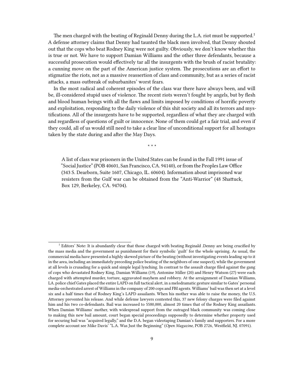The men charged with the beating of Reginald Denny during the L.A. riot must be supported.<sup>1</sup> A defense attorney claims that Denny had taunted the black men involved, that Denny shouted out that the cops who beat Rodney King were not guilty. Obviously, we don't know whether this is true or not. We have to support Damian Williams and the other three defendants, because a successful prosecution would effectively tar all the insurgents with the brush of racist brutality: a cunning move on the part of the American justice system. The prosecutions are an effort to stigmatize the riots, not as a massive reassertion of class and community, but as a series of racist attacks, a mass outbreak of suburbanites' worst fears.

In the most radical and coherent episodes of the class war there have always been, and will be, ill-considered stupid uses of violence. The recent riots weren't fought by angels, but by flesh and blood human beings with all the flaws and limits imposed by conditions of horrific poverty and exploitation, responding to the daily violence of this shit society and all its terrors and mystifications. All of the insurgents have to be supported, regardless of what they are charged with and regardless of questions of guilt or innocence. None of them could get a fair trial, and even if they could, all of us would still need to take a clear line of unconditional support for all hostages taken by the state during and after the May Days.

\* \* \*

A list of class war prisoners in the United States can be found in the Fall 1991 issue of "Social Justice" (POB 40601, San Francisco, CA. 94140), or from the Peoples Law Office (343 S. Dearborn, Suite 1607, Chicago, IL. 60604). Information about imprisoned war resisters from the Gulf war can be obtained from the "Anti-Warrior" (48 Shattuck, Box 129, Berkeley, CA. 94704).

<sup>&</sup>lt;sup>1</sup> Editors' Note: It is abundantly clear that those charged with beating Reginald .Denny are being crucified by the mass media and the government as punishment for their symbolic 'guilt' for the whole uprising. As usual, the commercial media have presented a highly skewed picture of the beating (without investigating events leading up to it in the area, including an immediately preceding police beating of the neighbors of one suspect), while the government at all levels is crusading for a quick and simple legal lynching. In contrast to the assault charge filed against the gang of cops who devastated Rodney King, Damian Williams (19), Antonine Miller (20) and Henry Watson (27) were each charged with attempted murder, torture, aggravated mayhem and robbery. At the arraignment of Damian Williams, LA. police chief Gates placed the entire LAPD on full tactical alert, in a melodramatic gesture similar to Gates' personal media-orchestrated arrest of Williams in the company of 200 cops and FBI agents. Williams' bail was then set at a level six and a half times that of Rodney King's LAPD assailants. When his mother was able to raise the money, the U.S. Attorney prevented his release. And while defense lawyers contested this, 37 new felony charges were filed against him and his two co-defendants. Bail was increased to 5580,000, almost 20 times that of the Rodney King assailants. When Damian Williams' mother, with widespread support from the outraged black community was coming close to making this new bail amount, court began special proceedings supposedly to determine whether property used for securing bail was "acquired legally," and the D.A. began videotaping Damian's family and supporters. For a more complete account see Mike Davis' "L.A. Was Just the Beginning" (*Open Magazine*, POB 2726, Westfield, NJ. 07091).